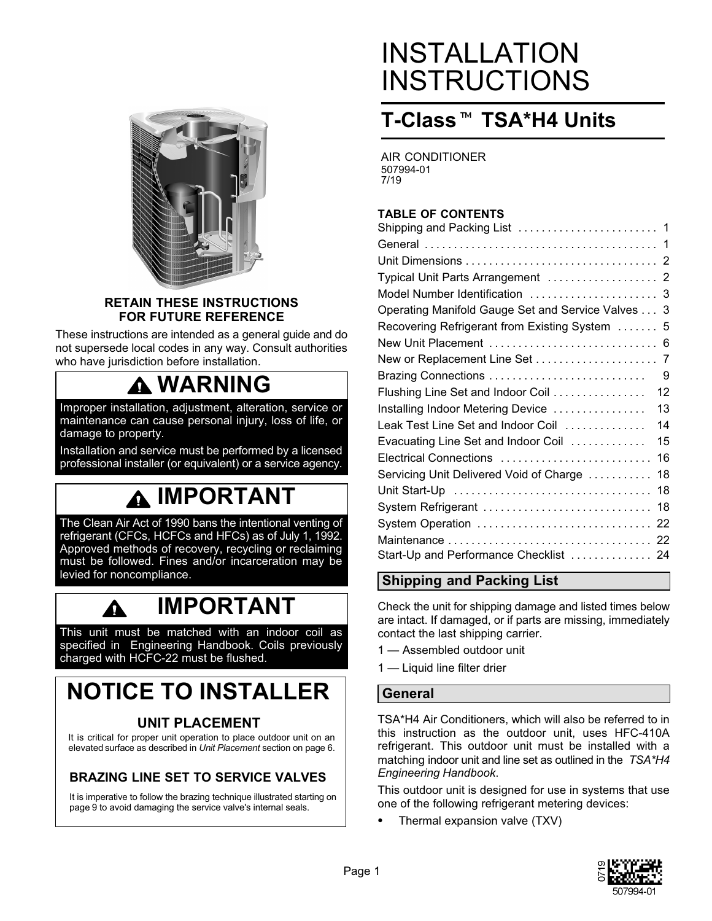

#### **RETAIN THESE INSTRUCTIONS FOR FUTURE REFERENCE**

These instructions are intended as a general guide and do not supersede local codes in any way. Consult authorities who have jurisdiction before installation.

### **WARNING**

Improper installation, adjustment, alteration, service or maintenance can cause personal injury, loss of life, or damage to property.

Installation and service must be performed by a licensed professional installer (or equivalent) or a service agency.

# **IMPORTANT**

The Clean Air Act of 1990 bans the intentional venting of refrigerant (CFCs, HCFCs and HFCs) as of July 1, 1992. Approved methods of recovery, recycling or reclaiming must be followed. Fines and/or incarceration may be levied for noncompliance.

# **IMPORTANT**

This unit must be matched with an indoor coil as specified in Engineering Handbook. Coils previously charged with HCFC-22 must be flushed.

### **NOTICE TO INSTALLER**

#### **UNIT PLACEMENT**

It is critical for proper unit operation to place outdoor unit on an elevated surface as described in *Unit Placement* section on page [6](#page-5-0).

#### **BRAZING LINE SET TO SERVICE VALVES**

It is imperative to follow the brazing technique illustrated starting on page [9](#page-8-0) to avoid damaging the service valve's internal seals.

# INSTALLATION **INSTRUCTIONS**

# **T-Class**- **TSA\*H4 Units**

AIR CONDITIONER 507994-01 7/19

#### **TABLE OF CONTENTS**

| Typical Unit Parts Arrangement  2                 |
|---------------------------------------------------|
| Model Number Identification  3                    |
| Operating Manifold Gauge Set and Service Valves 3 |
| Recovering Refrigerant from Existing System  5    |
|                                                   |
| New or Replacement Line Set<br>7                  |
| 9                                                 |
| Flushing Line Set and Indoor Coil<br>12           |
| 13<br>Installing Indoor Metering Device           |
| Leak Test Line Set and Indoor Coil<br>14          |
| Evacuating Line Set and Indoor Coil<br>15         |
| Electrical Connections<br>16                      |
| Servicing Unit Delivered Void of Charge<br>18     |
| 18                                                |
| System Refrigerant<br>18                          |
|                                                   |
|                                                   |
| Start-Up and Performance Checklist  24            |
|                                                   |

#### **Shipping and Packing List**

Check the unit for shipping damage and listed times below are intact. If damaged, or if parts are missing, immediately contact the last shipping carrier.

- 1 Assembled outdoor unit
- 1 Liquid line filter drier

#### **General**

TSA\*H4 Air Conditioners, which will also be referred to in this instruction as the outdoor unit, uses HFC-410A refrigerant. This outdoor unit must be installed with a matching indoor unit and line set as outlined in the *TSA\*H4 Engineering Handbook*.

This outdoor unit is designed for use in systems that use one of the following refrigerant metering devices:

-Thermal expansion valve (TXV)

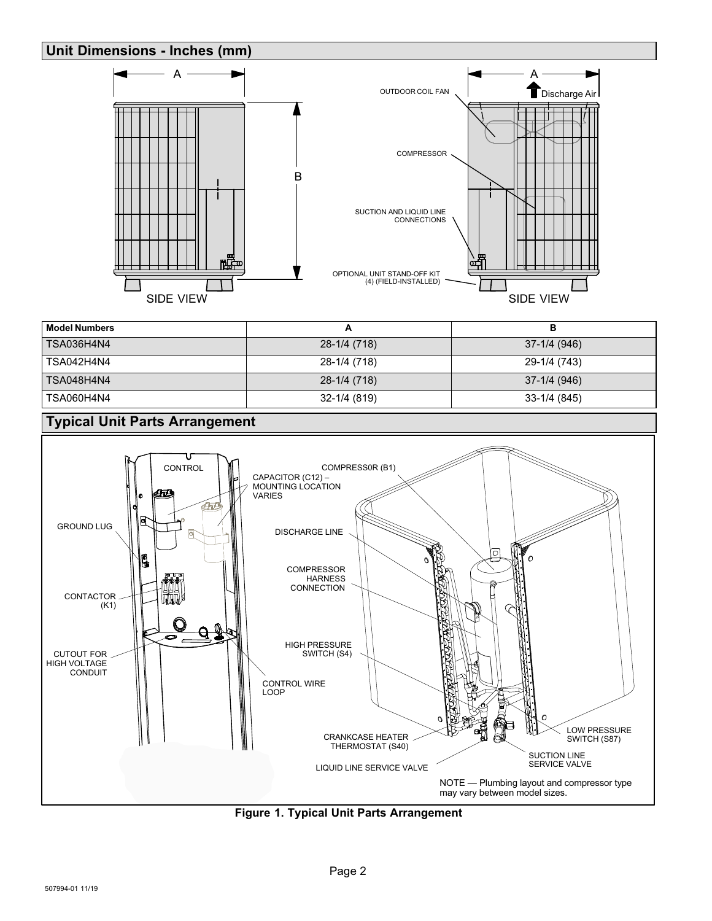#### <span id="page-1-0"></span>**Unit Dimensions - Inches (mm)**



| <b>Model Numbers</b> | Ē            | в            |
|----------------------|--------------|--------------|
| TSA036H4N4           | 28-1/4 (718) | 37-1/4 (946) |
| TSA042H4N4           | 28-1/4 (718) | 29-1/4 (743) |
| TSA048H4N4           | 28-1/4 (718) | 37-1/4 (946) |
| TSA060H4N4           | 32-1/4 (819) | 33-1/4 (845) |



**Figure 1. Typical Unit Parts Arrangement**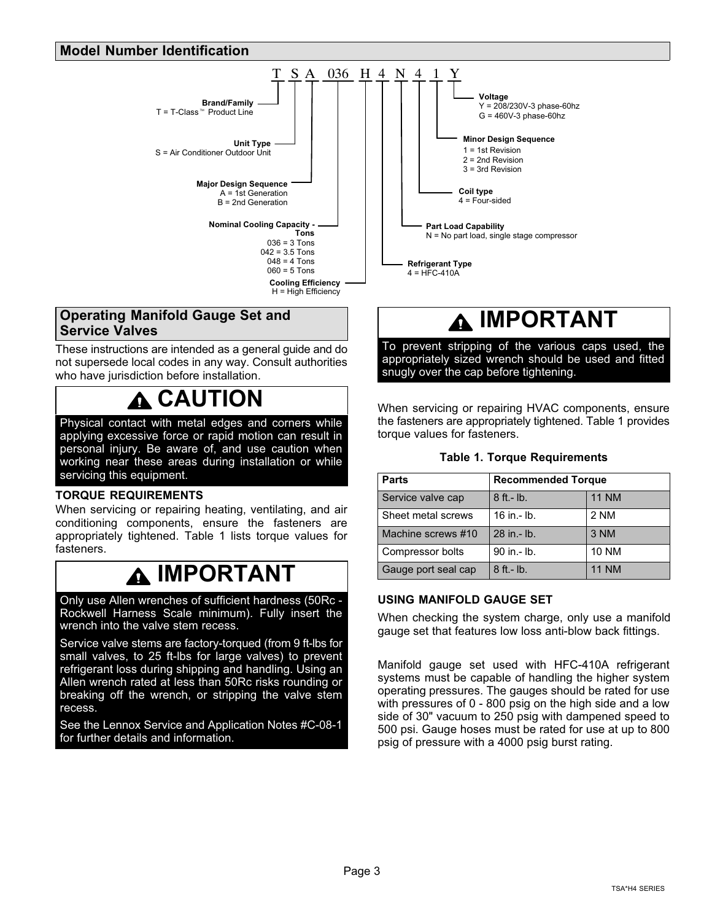#### <span id="page-2-0"></span>**Model Number Identification**



#### **Operating Manifold Gauge Set and Service Valves**

These instructions are intended as a general guide and do not supersede local codes in any way. Consult authorities who have jurisdiction before installation.

### **CAUTION**

Physical contact with metal edges and corners while applying excessive force or rapid motion can result in personal injury. Be aware of, and use caution when working near these areas during installation or while servicing this equipment.

#### **TORQUE REQUIREMENTS**

When servicing or repairing heating, ventilating, and air conditioning components, ensure the fasteners are appropriately tightened. Table 1 lists torque values for fasteners.

### **IMPORTANT**

Only use Allen wrenches of sufficient hardness (50Rc - Rockwell Harness Scale minimum). Fully insert the wrench into the valve stem recess.

Service valve stems are factory-torqued (from 9 ft-lbs for small valves, to 25 ft-lbs for large valves) to prevent refrigerant loss during shipping and handling. Using an Allen wrench rated at less than 50Rc risks rounding or breaking off the wrench, or stripping the valve stem recess.

See the Lennox Service and Application Notes #C-08-1 for further details and information.

### **IMPORTANT**

To prevent stripping of the various caps used, the appropriately sized wrench should be used and fitted snugly over the cap before tightening.

When servicing or repairing HVAC components, ensure the fasteners are appropriately tightened. Table 1 provides torque values for fasteners.

#### **Table 1. Torque Requirements**

| <b>Parts</b>        | <b>Recommended Torque</b> |              |  |
|---------------------|---------------------------|--------------|--|
| Service valve cap   | $8$ ft.- $lb$ .           | <b>11 NM</b> |  |
| Sheet metal screws  | 16 in $-$ lb.             | 2 NM         |  |
| Machine screws #10  | 28 in .- lb.              | 3 NM         |  |
| Compressor bolts    | 90 in .- lb.              | <b>10 NM</b> |  |
| Gauge port seal cap | $8$ ft. - $lb$ .          | <b>11 NM</b> |  |

#### **USING MANIFOLD GAUGE SET**

When checking the system charge, only use a manifold gauge set that features low loss anti-blow back fittings.

Manifold gauge set used with HFC-410A refrigerant systems must be capable of handling the higher system operating pressures. The gauges should be rated for use with pressures of 0 - 800 psig on the high side and a low side of 30" vacuum to 250 psig with dampened speed to 500 psi. Gauge hoses must be rated for use at up to 800 psig of pressure with a 4000 psig burst rating.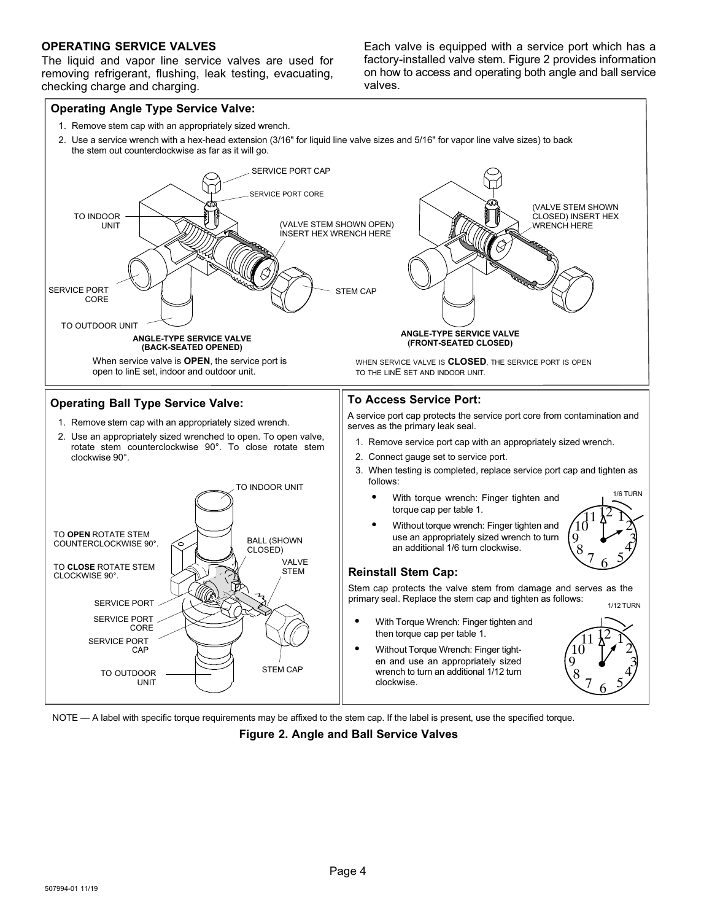#### **OPERATING SERVICE VALVES**

The liquid and vapor line service valves are used for removing refrigerant, flushing, leak testing, evacuating, checking charge and charging.

Each valve is equipped with a service port which has a factory-installed valve stem. Figure 2 provides information on how to access and operating both angle and ball service valves.



NOTE — A label with specific torque requirements may be affixed to the stem cap. If the label is present, use the specified torque.

**Figure 2. Angle and Ball Service Valves**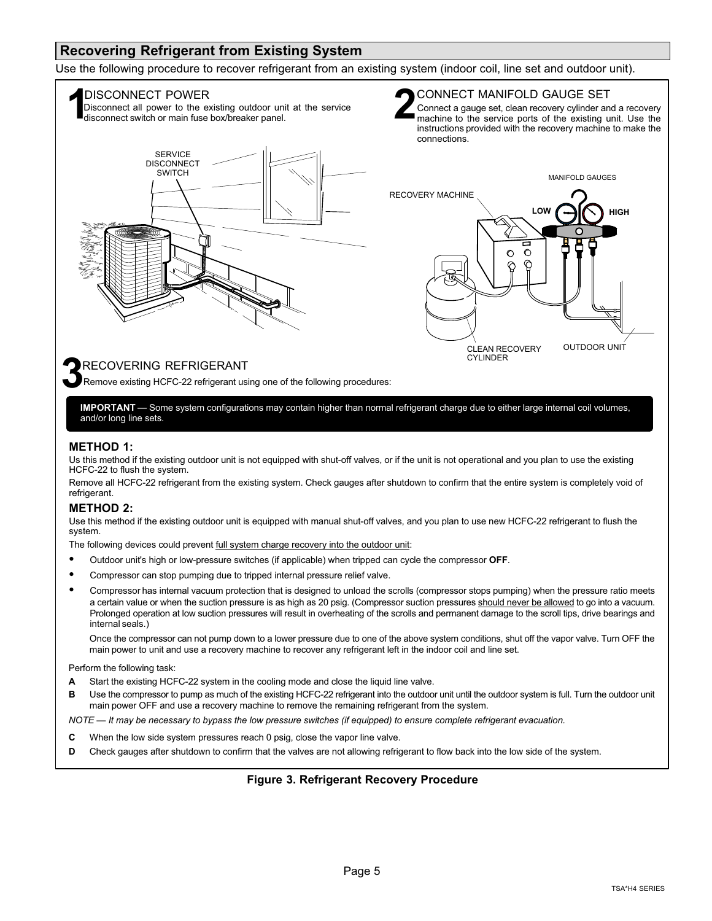#### <span id="page-4-0"></span>**Recovering Refrigerant from Existing System**

Use the following procedure to recover refrigerant from an existing system (indoor coil, line set and outdoor unit).



**IMPORTANT** — Some system configurations may contain higher than normal refrigerant charge due to either large internal coil volumes, and/or long line sets.

#### **METHOD 1:**

Us this method if the existing outdoor unit is not equipped with shut-off valves, or if the unit is not operational and you plan to use the existing HCFC-22 to flush the system.

Remove all HCFC-22 refrigerant from the existing system. Check gauges after shutdown to confirm that the entire system is completely void of refrigerant.

#### **METHOD 2:**

Use this method if the existing outdoor unit is equipped with manual shut-off valves, and you plan to use new HCFC-22 refrigerant to flush the system.

The following devices could prevent full system charge recovery into the outdoor unit:

- -Outdoor unit's high or low-pressure switches (if applicable) when tripped can cycle the compressor **OFF**.
- -Compressor can stop pumping due to tripped internal pressure relief valve.
- - Compressor has internal vacuum protection that is designed to unload the scrolls (compressor stops pumping) when the pressure ratio meets a certain value or when the suction pressure is as high as 20 psig. (Compressor suction pressures should never be allowed to go into a vacuum. Prolonged operation at low suction pressures will result in overheating of the scrolls and permanent damage to the scroll tips, drive bearings and internal seals.)

Once the compressor can not pump down to a lower pressure due to one of the above system conditions, shut off the vapor valve. Turn OFF the main power to unit and use a recovery machine to recover any refrigerant left in the indoor coil and line set.

Perform the following task:

- **A** Start the existing HCFC-22 system in the cooling mode and close the liquid line valve.
- **B** Use the compressor to pump as much of the existing HCFC-22 refrigerant into the outdoor unit until the outdoor system is full. Turn the outdoor unit main power OFF and use a recovery machine to remove the remaining refrigerant from the system.

*NOTE — It may be necessary to bypass the low pressure switches (if equipped) to ensure complete refrigerant evacuation.*

- **C** When the low side system pressures reach 0 psig, close the vapor line valve.
- **D** Check gauges after shutdown to confirm that the valves are not allowing refrigerant to flow back into the low side of the system.

#### **Figure 3. Refrigerant Recovery Procedure**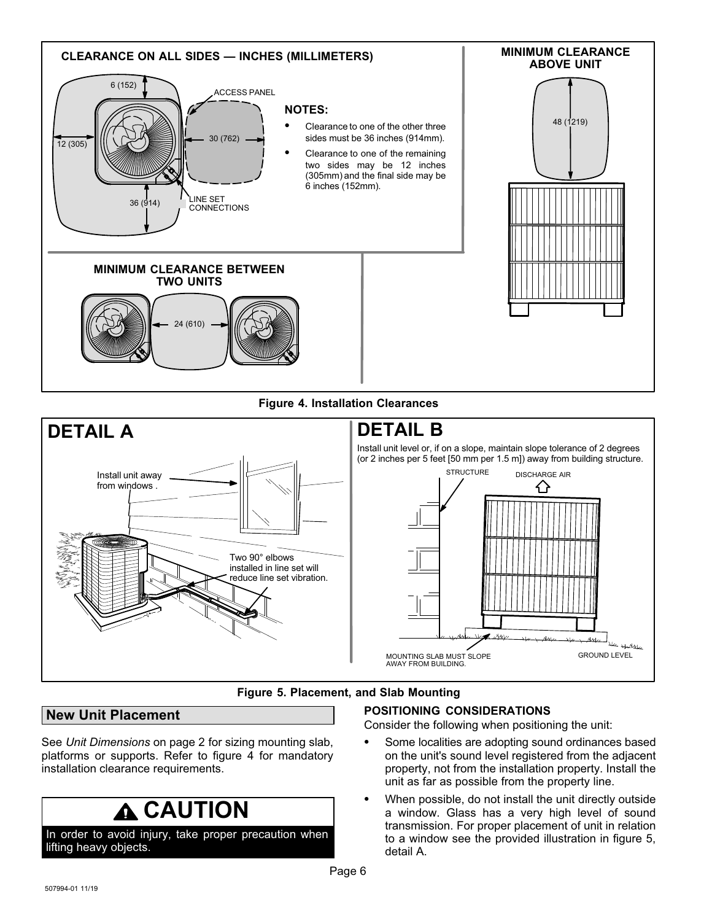<span id="page-5-0"></span>

#### **Figure 4. Installation Clearances**



#### **Figure 5. Placement, and Slab Mounting**

#### **New Unit Placement**

See *Unit Dimensions* on page [2](#page-1-0) for sizing mounting slab, platforms or supports. Refer to figure 4 for mandatory installation clearance requirements.

### **CAUTION**

In order to avoid injury, take proper precaution when lifting heavy objects.

### **POSITIONING CONSIDERATIONS**

Consider the following when positioning the unit:

- $\bullet$  Some localities are adopting sound ordinances based on the unit's sound level registered from the adjacent property, not from the installation property. Install the unit as far as possible from the property line.
- - When possible, do not install the unit directly outside a window. Glass has a very high level of sound transmission. For proper placement of unit in relation to a window see the provided illustration in figure 5, detail A.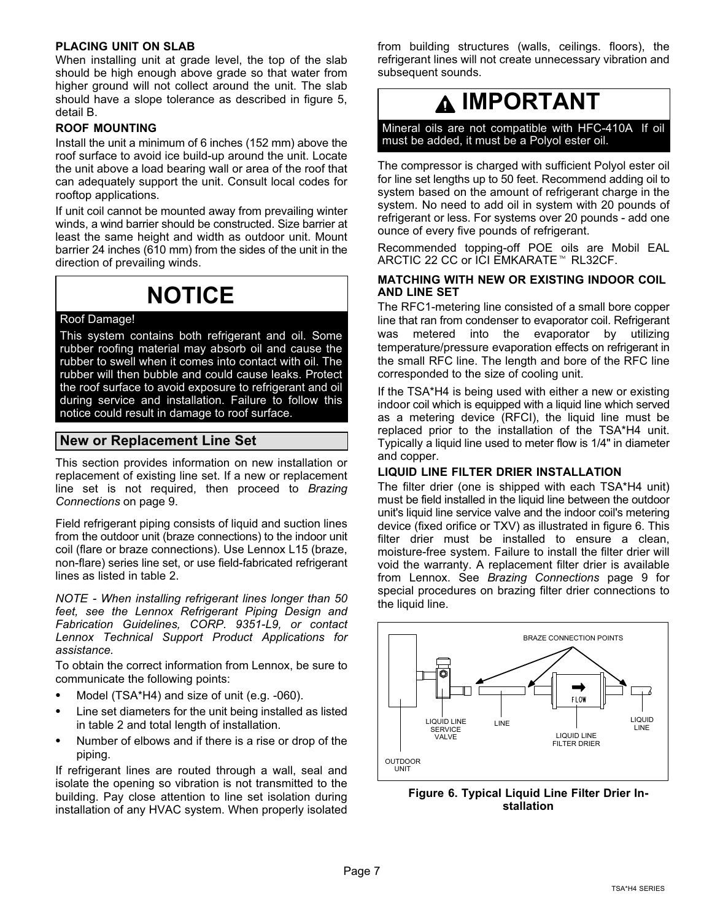#### <span id="page-6-0"></span>**PLACING UNIT ON SLAB**

When installing unit at grade level, the top of the slab should be high enough above grade so that water from higher ground will not collect around the unit. The slab should have a slope tolerance as described in figure [5,](#page-5-0) detail B.

#### **ROOF MOUNTING**

Install the unit a minimum of 6 inches (152 mm) above the roof surface to avoid ice build-up around the unit. Locate the unit above a load bearing wall or area of the roof that can adequately support the unit. Consult local codes for rooftop applications.

If unit coil cannot be mounted away from prevailing winter winds, a wind barrier should be constructed. Size barrier at least the same height and width as outdoor unit. Mount barrier 24 inches (610 mm) from the sides of the unit in the direction of prevailing winds.

### **NOTICE**

#### Roof Damage!

This system contains both refrigerant and oil. Some rubber roofing material may absorb oil and cause the rubber to swell when it comes into contact with oil. The rubber will then bubble and could cause leaks. Protect the roof surface to avoid exposure to refrigerant and oil during service and installation. Failure to follow this notice could result in damage to roof surface.

#### **New or Replacement Line Set**

This section provides information on new installation or replacement of existing line set. If a new or replacement line set is not required, then proceed to *Brazing Connections* on page [9](#page-8-0).

Field refrigerant piping consists of liquid and suction lines from the outdoor unit (braze connections) to the indoor unit coil (flare or braze connections). Use Lennox L15 (braze, non-flare) series line set, or use field-fabricated refrigerant lines as listed in table [2](#page-7-0).

*NOTE - When installing refrigerant lines longer than 50 feet, see the Lennox Refrigerant Piping Design and Fabrication Guidelines, CORP. 9351-L9, or contact Lennox Technical Support Product Applications for assistance.*

To obtain the correct information from Lennox, be sure to communicate the following points:

- -Model (TSA\*H4) and size of unit (e.g. -060).
- - Line set diameters for the unit being installed as listed in table [2](#page-7-0) and total length of installation.
- - Number of elbows and if there is a rise or drop of the piping.

If refrigerant lines are routed through a wall, seal and isolate the opening so vibration is not transmitted to the building. Pay close attention to line set isolation during installation of any HVAC system. When properly isolated from building structures (walls, ceilings. floors), the refrigerant lines will not create unnecessary vibration and subsequent sounds.

### **IMPORTANT**

Mineral oils are not compatible with HFC-410A. If oil must be added, it must be a Polyol ester oil.

The compressor is charged with sufficient Polyol ester oil for line set lengths up to 50 feet. Recommend adding oil to system based on the amount of refrigerant charge in the system. No need to add oil in system with 20 pounds of refrigerant or less. For systems over 20 pounds - add one ounce of every five pounds of refrigerant.

Recommended topping-off POE oils are Mobil EAL ARCTIC 22 CC or ICI EMKARATE<sup>™</sup> RL32CF.

#### **MATCHING WITH NEW OR EXISTING INDOOR COIL AND LINE SET**

The RFC1-metering line consisted of a small bore copper line that ran from condenser to evaporator coil. Refrigerant was metered into the evaporator by utilizing temperature/pressure evaporation effects on refrigerant in the small RFC line. The length and bore of the RFC line corresponded to the size of cooling unit.

If the TSA\*H4 is being used with either a new or existing indoor coil which is equipped with a liquid line which served as a metering device (RFCI), the liquid line must be replaced prior to the installation of the TSA\*H4 unit. Typically a liquid line used to meter flow is 1/4" in diameter and copper.

#### **LIQUID LINE FILTER DRIER INSTALLATION**

The filter drier (one is shipped with each TSA\*H4 unit) must be field installed in the liquid line between the outdoor unit's liquid line service valve and the indoor coil's metering device (fixed orifice or TXV) as illustrated in figure 6. This filter drier must be installed to ensure a clean, moisture-free system. Failure to install the filter drier will void the warranty. A replacement filter drier is available from Lennox. See *Brazing Connections* page [9](#page-8-0) for special procedures on brazing filter drier connections to the liquid line.



**Figure 6. Typical Liquid Line Filter Drier Installation**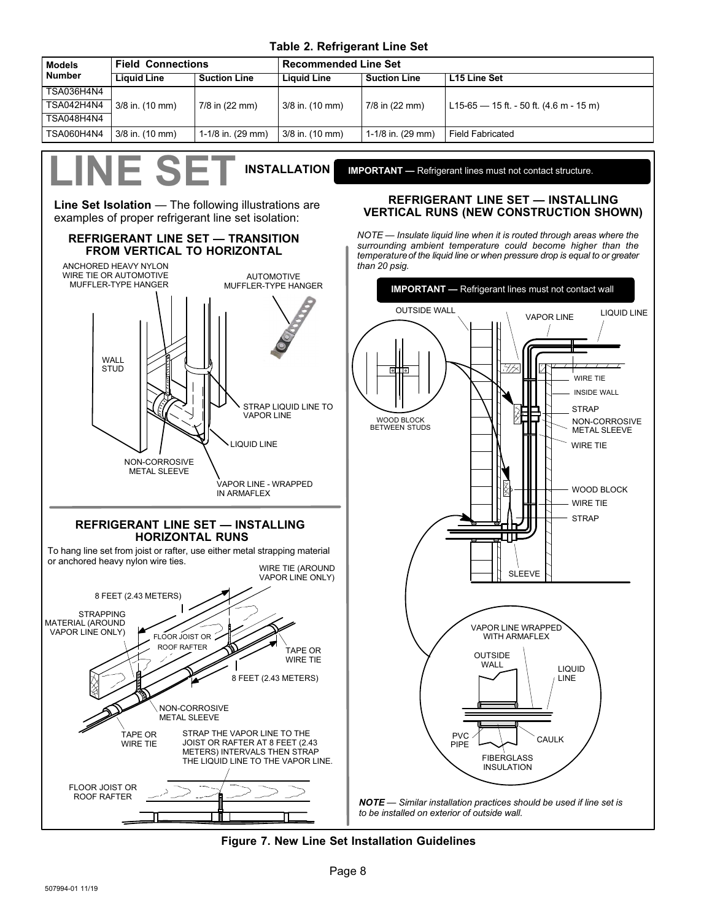#### **Table 2. Refrigerant Line Set**

<span id="page-7-0"></span>

| <b>Models</b> | <b>Field Connections</b> |                                           | <b>Recommended Line Set</b> |                     |                                           |
|---------------|--------------------------|-------------------------------------------|-----------------------------|---------------------|-------------------------------------------|
| <b>Number</b> | Liguid Line              | <b>Suction Line</b><br><b>Liquid Line</b> |                             | <b>Suction Line</b> | L15 Line Set                              |
| TSA036H4N4    |                          |                                           |                             |                     |                                           |
| TSA042H4N4    | 3/8 in. (10 mm)          | 7/8 in (22 mm)                            | 3/8 in. (10 mm)             | 7/8 in (22 mm)      | L15-65 $-$ 15 ft. - 50 ft. (4.6 m - 15 m) |
| TSA048H4N4    |                          |                                           |                             |                     |                                           |
| TSA060H4N4    | $3/8$ in. (10 mm)        | 1-1/8 in. (29 mm)                         | 3/8 in. (10 mm)             | 1-1/8 in. (29 mm)   | <b>Field Fabricated</b>                   |

**LINE SET INSTALLATION**

**REFRIGERANT LINE SET — TRANSITION FROM VERTICAL TO HORIZONTAL**

**Line Set Isolation** — The following illustrations are examples of proper refrigerant line set isolation:

**IMPORTANT —** Refrigerant lines must not contact structure.

#### **REFRIGERANT LINE SET — INSTALLING VERTICAL RUNS (NEW CONSTRUCTION SHOWN)**

*NOTE — Insulate liquid line when it is routed through areas where the surrounding ambient temperature could become higher than the temperature of the liquid line or when pressure drop is equal to or greater than 20 psig.*





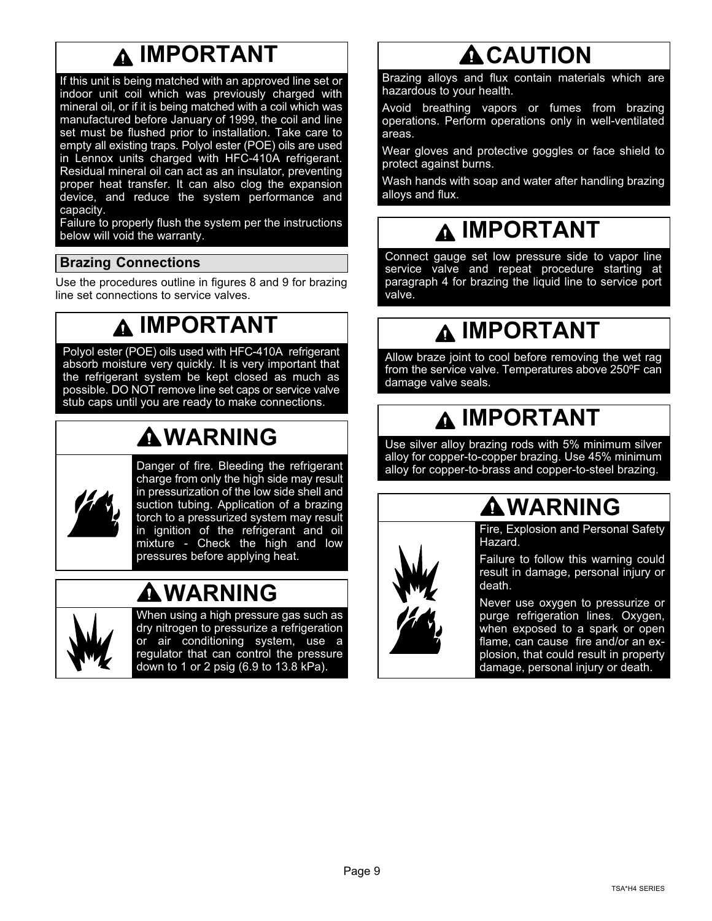### **IMPORTANT**

<span id="page-8-0"></span>If this unit is being matched with an approved line set or indoor unit coil which was previously charged with mineral oil, or if it is being matched with a coil which was manufactured before January of 1999, the coil and line set must be flushed prior to installation. Take care to empty all existing traps. Polyol ester (POE) oils are used in Lennox units charged with HFC-410A refrigerant. Residual mineral oil can act as an insulator, preventing proper heat transfer. It can also clog the expansion device, and reduce the system performance and capacity.

Failure to properly flush the system per the instructions below will void the warranty.

#### **Brazing Connections**

Use the procedures outline in figures [8](#page-9-0) and [9](#page-10-0) for brazing line set connections to service valves.

### **IMPORTANT**

Polyol ester (POE) oils used with HFC-410A refrigerant absorb moisture very quickly. It is very important that the refrigerant system be kept closed as much as possible. DO NOT remove line set caps or service valve stub caps until you are ready to make connections.

# **WARNING**



Danger of fire. Bleeding the refrigerant charge from only the high side may result in pressurization of the low side shell and suction tubing. Application of a brazing torch to a pressurized system may result in ignition of the refrigerant and oil mixture - Check the high and low pressures before applying heat.

### **WARNING**



When using a high pressure gas such as dry nitrogen to pressurize a refrigeration or air conditioning system, use a regulator that can control the pressure down to 1 or 2 psig (6.9 to 13.8 kPa).

### **ACAUTION**

Brazing alloys and flux contain materials which are hazardous to your health.

Avoid breathing vapors or fumes from brazing operations. Perform operations only in well-ventilated areas.

Wear gloves and protective goggles or face shield to protect against burns.

Wash hands with soap and water after handling brazing alloys and flux.

### **IMPORTANT**

Connect gauge set low pressure side to vapor line service valve and repeat procedure starting at paragraph 4 for brazing the liquid line to service port valve.

### **IMPORTANT**

Allow braze joint to cool before removing the wet rag from the service valve. Temperatures above 250ºF can damage valve seals.

### **IMPORTANT**

Use silver alloy brazing rods with 5% minimum silver alloy for copper-to-copper brazing. Use 45% minimum alloy for copper-to-brass and copper-to-steel brazing.

### **WARNING**

Fire, Explosion and Personal Safety Hazard.

Failure to follow this warning could result in damage, personal injury or death.

Never use oxygen to pressurize or purge refrigeration lines. Oxygen, when exposed to a spark or open flame, can cause fire and/or an explosion, that could result in property damage, personal injury or death.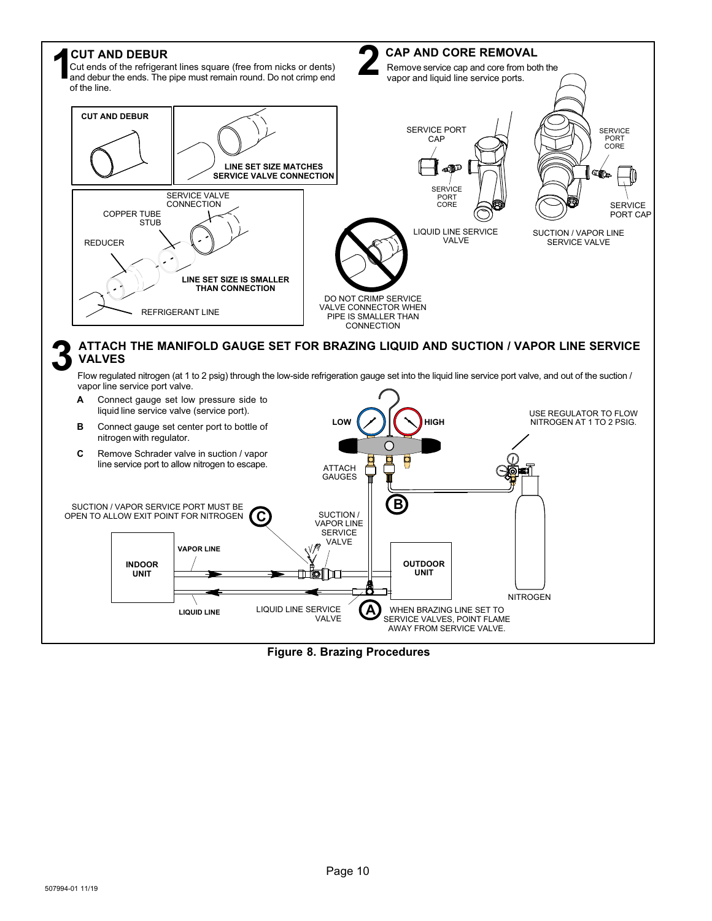<span id="page-9-0"></span>

**Figure 8. Brazing Procedures**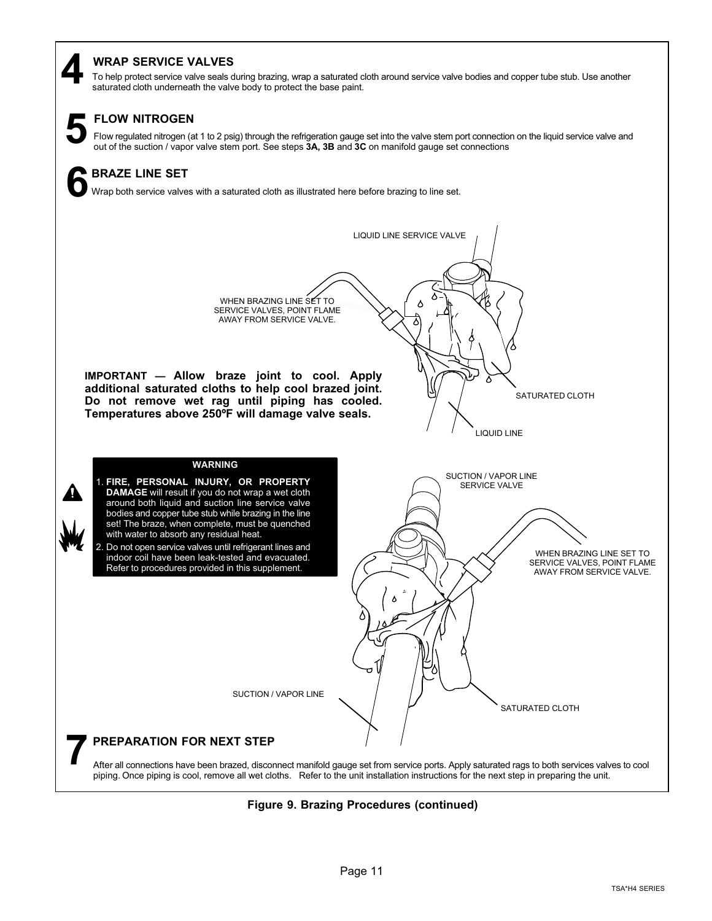#### <span id="page-10-0"></span>**WRAP SERVICE VALVES**

To help protect service valve seals during brazing, wrap a saturated cloth around service valve bodies and copper tube stub. Use another **4** saturated cloth underneath the valve body to protect the base paint.



#### **FLOW NITROGEN**

Flow regulated nitrogen (at 1 to 2 psig) through the refrigeration gauge set into the valve stem port connection on the liquid service valve and out of the suction / vapor valve and out of the suction / vapor valve stem po

### **BRAZE LINE SET 6**

Wrap both service valves with a saturated cloth as illustrated here before brazing to line set.



**Figure 9. Brazing Procedures (continued)**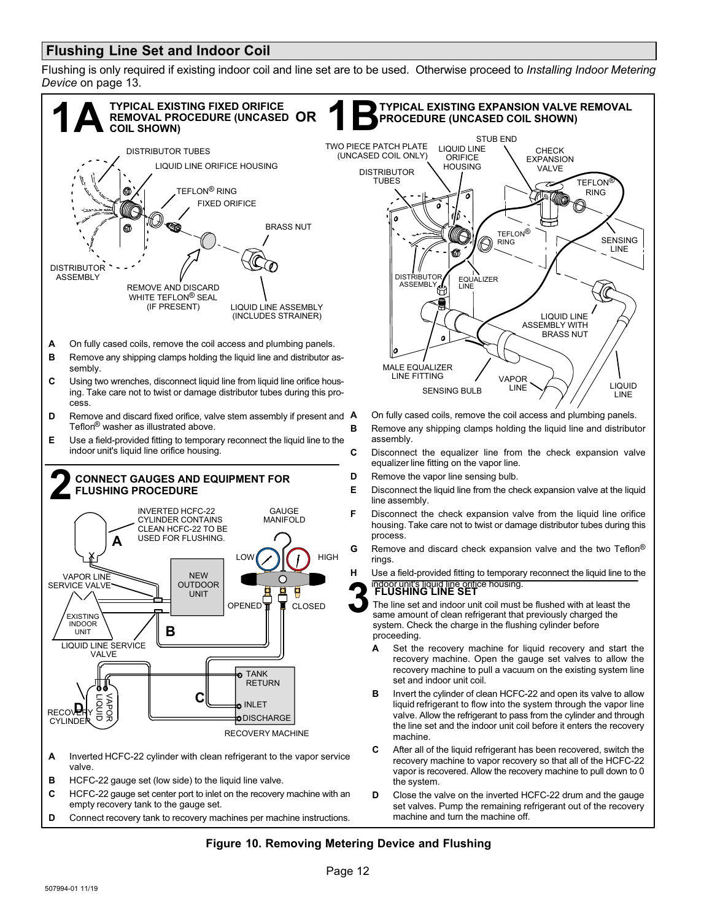#### <span id="page-11-0"></span>**Flushing Line Set and Indoor Coil**

Flushing is only required if existing indoor coil and line set are to be used. Otherwise proceed to *Installing Indoor Metering Device* on page [13](#page-12-0).



#### **Figure 10. Removing Metering Device and Flushing**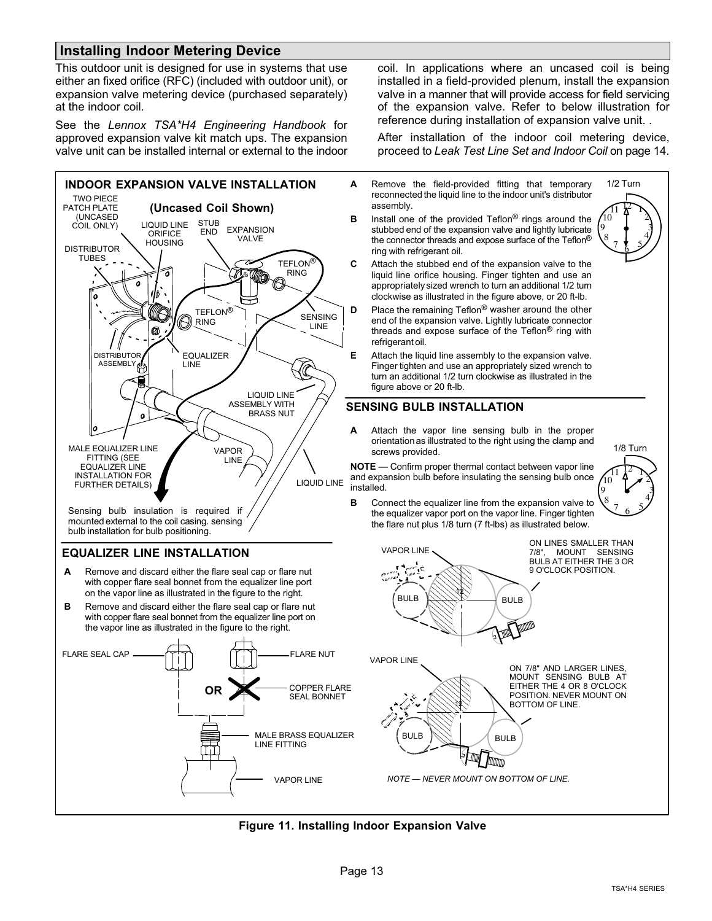#### <span id="page-12-0"></span>**Installing Indoor Metering Device**

This outdoor unit is designed for use in systems that use either an fixed orifice (RFC) (included with outdoor unit), or expansion valve metering device (purchased separately) at the indoor coil.

See the *Lennox TSA\*H4 Engineering Handbook* for approved expansion valve kit match ups. The expansion valve unit can be installed internal or external to the indoor



mounted external to the coil casing. sensing bulb installation for bulb positioning.

#### **EQUALIZER LINE INSTALLATION**

- **A** Remove and discard either the flare seal cap or flare nut with copper flare seal bonnet from the equalizer line port on the vapor line as illustrated in the figure to the right.
- **B** Remove and discard either the flare seal cap or flare nut with copper flare seal bonnet from the equalizer line port on the vapor line as illustrated in the figure to the right.



coil. In applications where an uncased coil is being installed in a field-provided plenum, install the expansion valve in a manner that will provide access for field servicing of the expansion valve. Refer to below illustration for reference during installation of expansion valve unit. .

After installation of the indoor coil metering device, proceed to *Leak Test Line Set and Indoor Coil* on page [14](#page-13-0).

- **A** Remove the field-provided fitting that temporary reconnected the liquid line to the indoor unit's distributor assembly.
- **B** Install one of the provided Teflon® rings around the stubbed end of the expansion valve and lightly lubricate the connector threads and expose surface of the Teflon® ring with refrigerant oil.



- **C** Attach the stubbed end of the expansion valve to the liquid line orifice housing. Finger tighten and use an appropriately sized wrench to turn an additional 1/2 turn clockwise as illustrated in the figure above, or 20 ft-lb.
- **D** Place the remaining Teflon<sup>®</sup> washer around the other end of the expansion valve. Lightly lubricate connector threads and expose surface of the Teflon® ring with refrigerant oil.
- **E** Attach the liquid line assembly to the expansion valve. Finger tighten and use an appropriately sized wrench to turn an additional 1/2 turn clockwise as illustrated in the figure above or 20 ft-lb.

#### **SENSING BULB INSTALLATION**

**A** Attach the vapor line sensing bulb in the proper orientation as illustrated to the right using the clamp and screws provided.

**NOTE** — Confirm proper thermal contact between vapor line and expansion bulb before insulating the sensing bulb once installed.



**B** Connect the equalizer line from the expansion valve to the equalizer vapor port on the vapor line. Finger tighten the flare nut plus 1/8 turn (7 ft-lbs) as illustrated below.



#### **Figure 11. Installing Indoor Expansion Valve**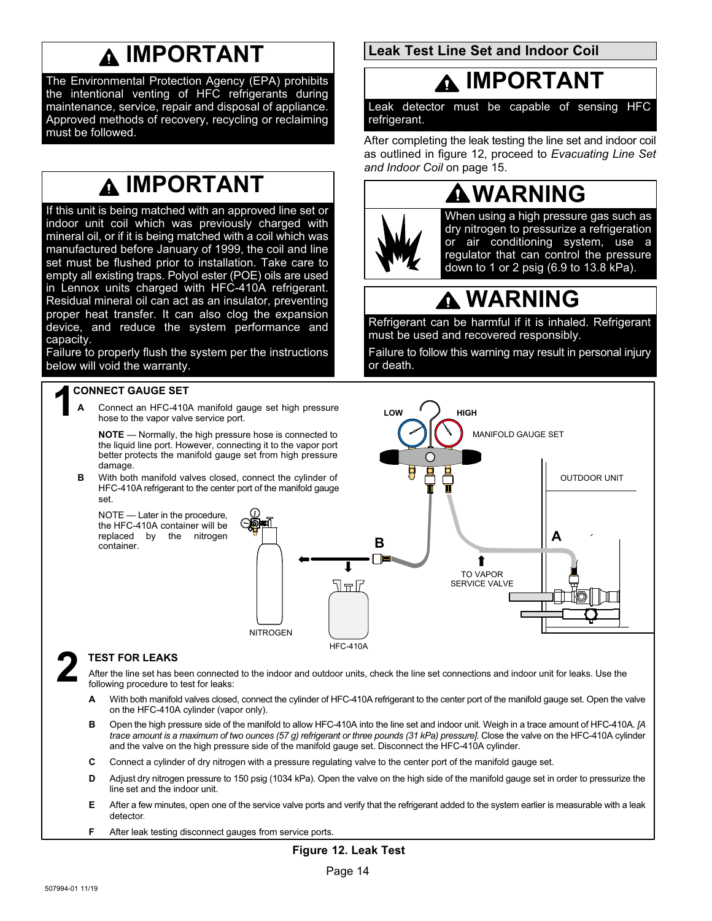### **IMPORTANT**

<span id="page-13-0"></span>The Environmental Protection Agency (EPA) prohibits the intentional venting of HFC refrigerants during maintenance, service, repair and disposal of appliance. Approved methods of recovery, recycling or reclaiming must be followed.

### **IMPORTANT**

If this unit is being matched with an approved line set or indoor unit coil which was previously charged with mineral oil, or if it is being matched with a coil which was manufactured before January of 1999, the coil and line set must be flushed prior to installation. Take care to empty all existing traps. Polyol ester (POE) oils are used in Lennox units charged with HFC-410A refrigerant. Residual mineral oil can act as an insulator, preventing proper heat transfer. It can also clog the expansion device, and reduce the system performance and capacity.

Failure to properly flush the system per the instructions below will void the warranty.

### **1 CONNECT GAUGE SET**

**A** Connect an HFC-410A manifold gauge set high pressure hose to the vapor valve service port.

**NOTE** — Normally, the high pressure hose is connected to the liquid line port. However, connecting it to the vapor port better protects the manifold gauge set from high pressure damage.

**B** With both manifold valves closed, connect the cylinder of HFC-410A refrigerant to the center port of the manifold gauge set.

NOTE — Later in the procedure, the HFC-410A container will be replaced by the nitrogen container.



#### HFC-410A

#### **2 TEST FOR LEAKS**

After the line set has been connected to the indoor and outdoor units, check the line set connections and indoor unit for leaks. Use the following procedure to test for leaks:

- **A** With both manifold valves closed, connect the cylinder of HFC-410A refrigerant to the center port of the manifold gauge set. Open the valve on the HFC-410A cylinder (vapor only).
- **B** Open the high pressure side of the manifold to allow HFC-410A into the line set and indoor unit. Weigh in a trace amount of HFC-410A. *[A* trace amount is a maximum of two ounces (57 g) refrigerant or three pounds (31 kPa) pressure]. Close the valve on the HFC-410A cylinder and the valve on the high pressure side of the manifold gauge set. Disconnect the HFC-410A cylinder.
- **C** Connect a cylinder of dry nitrogen with a pressure regulating valve to the center port of the manifold gauge set.
- **D** Adjust dry nitrogen pressure to 150 psig (1034 kPa). Open the valve on the high side of the manifold gauge set in order to pressurize the line set and the indoor unit.
- **E** After a few minutes, open one of the service valve ports and verify that the refrigerant added to the system earlier is measurable with a leak detector.
- **F** After leak testing disconnect gauges from service ports.

**Leak Test Line Set and Indoor Coil** 

### **IMPORTANT**

Leak detector must be capable of sensing HFC refrigerant.

After completing the leak testing the line set and indoor coil as outlined in figure 12, proceed to *Evacuating Line Set and Indoor Coil* on page [15.](#page-14-0)



When using a high pressure gas such as dry nitrogen to pressurize a refrigeration or air conditioning system, use a regulator that can control the pressure down to 1 or 2 psig (6.9 to 13.8 kPa).

# **WARNING**

Refrigerant can be harmful if it is inhaled. Refrigerant must be used and recovered responsibly.

Failure to follow this warning may result in personal injury or death.

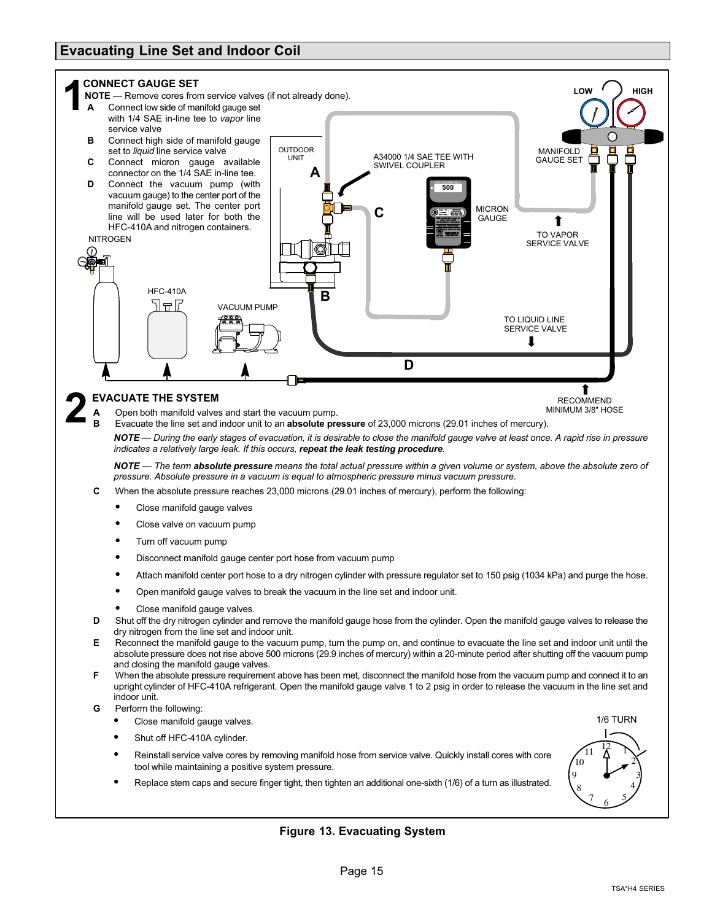#### <span id="page-14-0"></span>**Evacuating Line Set and Indoor Coil**



- **F** When the absolute pressure requirement above has been met, disconnect the manifold hose from the vacuum pump and connect it to an upright cylinder of HFC-410A refrigerant. Open the manifold gauge valve 1 to 2 psig in order to release the vacuum in the line set and indoor unit.
- **G** Perform the following:
	- -Close manifold gauge valves.
	- -Shut off HFC-410A cylinder.
	- - Reinstall service valve cores by removing manifold hose from service valve. Quickly install cores with core tool while maintaining a positive system pressure.
	- -Replace stem caps and secure finger tight, then tighten an additional one-sixth (1/6) of a turn as illustrated.



#### **Figure 13. Evacuating System**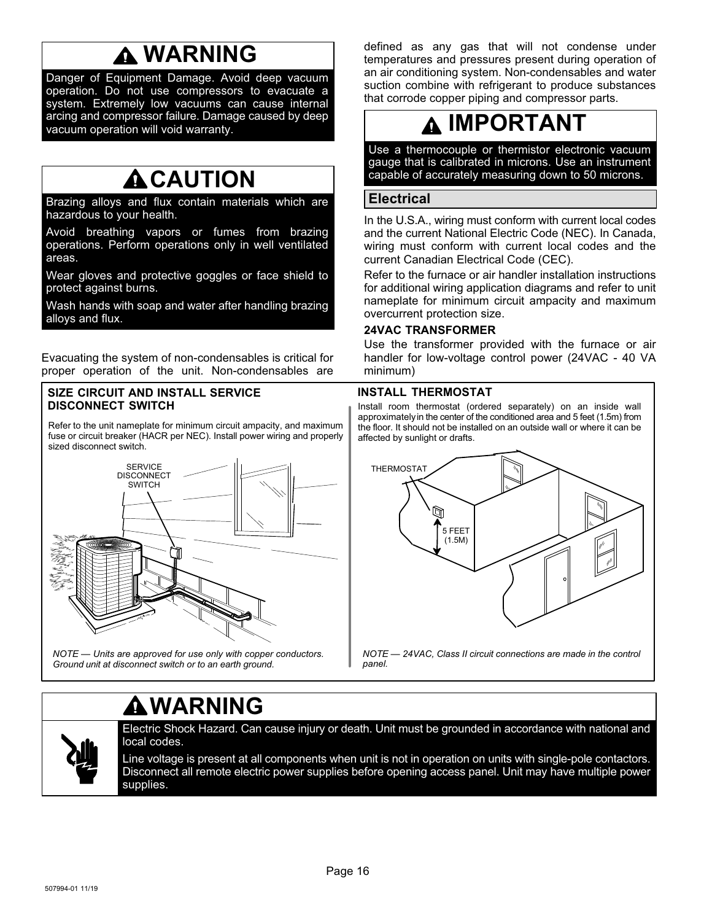### **WARNING**

<span id="page-15-0"></span>Danger of Equipment Damage. Avoid deep vacuum operation. Do not use compressors to evacuate a system. Extremely low vacuums can cause internal arcing and compressor failure. Damage caused by deep vacuum operation will void warranty.

### **ACAUTION**

Brazing alloys and flux contain materials which are hazardous to your health.

Avoid breathing vapors or fumes from brazing operations. Perform operations only in well ventilated areas.

Wear gloves and protective goggles or face shield to protect against burns.

Wash hands with soap and water after handling brazing alloys and flux.

Evacuating the system of non-condensables is critical for proper operation of the unit. Non-condensables are

#### **SIZE CIRCUIT AND INSTALL SERVICE DISCONNECT SWITCH**

Refer to the unit nameplate for minimum circuit ampacity, and maximum fuse or circuit breaker (HACR per NEC). Install power wiring and properly sized disconnect switch.



*NOTE — Units are approved for use only with copper conductors. Ground unit at disconnect switch or to an earth ground.*

defined as any gas that will not condense under temperatures and pressures present during operation of an air conditioning system. Non-condensables and water suction combine with refrigerant to produce substances that corrode copper piping and compressor parts.

### **IMPORTANT**

Use a thermocouple or thermistor electronic vacuum gauge that is calibrated in microns. Use an instrument capable of accurately measuring down to 50 microns.

#### **Electrical**

In the U.S.A., wiring must conform with current local codes and the current National Electric Code (NEC). In Canada, wiring must conform with current local codes and the current Canadian Electrical Code (CEC).

Refer to the furnace or air handler installation instructions for additional wiring application diagrams and refer to unit nameplate for minimum circuit ampacity and maximum overcurrent protection size.

#### **24VAC TRANSFORMER**

Use the transformer provided with the furnace or air handler for low-voltage control power (24VAC - 40 VA minimum)

#### **INSTALL THERMOSTAT**

Install room thermostat (ordered separately) on an inside wall approximately in the center of the conditioned area and 5 feet (1.5m) from the floor. It should not be installed on an outside wall or where it can be affected by sunlight or drafts.



### **WARNING**



Electric Shock Hazard. Can cause injury or death. Unit must be grounded in accordance with national and local codes.

Line voltage is present at all components when unit is not in operation on units with single-pole contactors. Disconnect all remote electric power supplies before opening access panel. Unit may have multiple power supplies.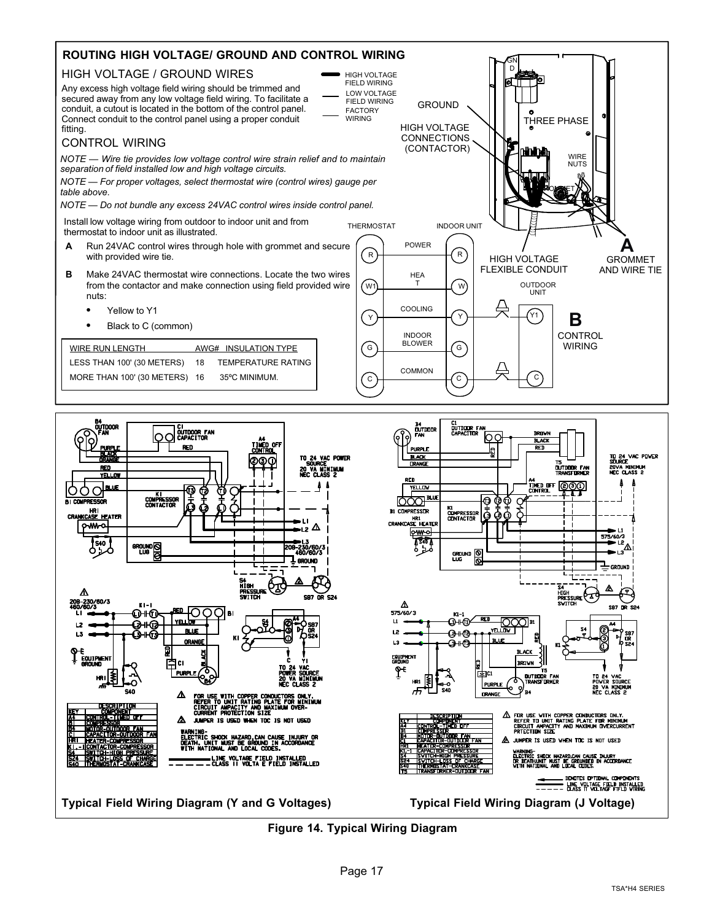

**Typical Field Wiring Diagram (Y and G Voltages) Typical Field Wiring Diagram (J Voltage)**

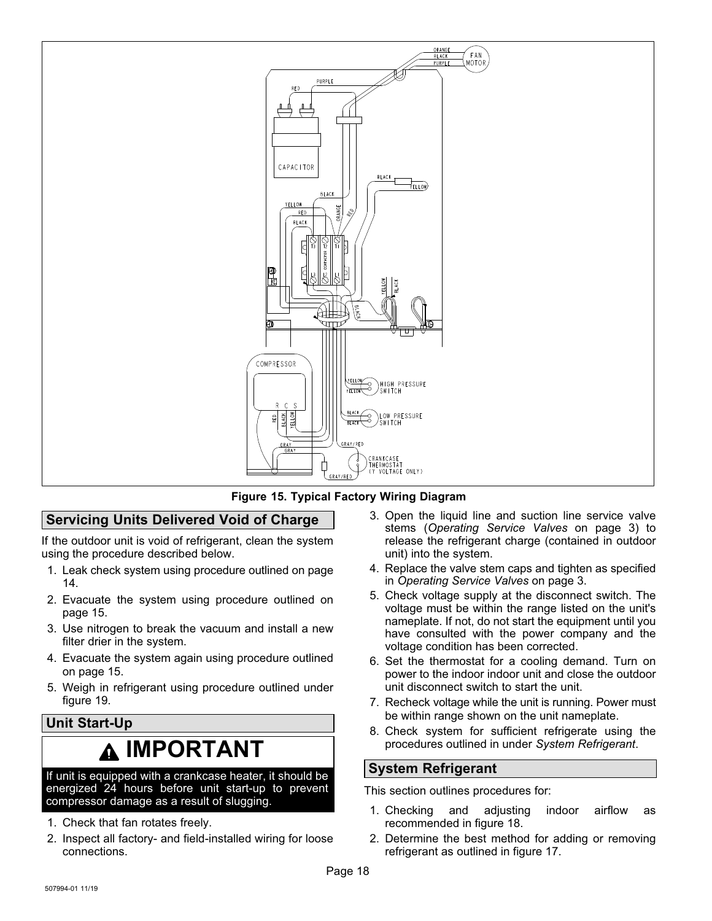<span id="page-17-0"></span>



#### **Servicing Units Delivered Void of Charge**

If the outdoor unit is void of refrigerant, clean the system using the procedure described below.

- 1. Leak check system using procedure outlined on page [14.](#page-13-0)
- 2. Evacuate the system using procedure outlined on page [15.](#page-14-0)
- 3. Use nitrogen to break the vacuum and install a new filter drier in the system.
- 4. Evacuate the system again using procedure outlined on page [15.](#page-14-0)
- 5. Weigh in refrigerant using procedure outlined under figure [19.](#page-19-0)

#### **Unit Start-Up**

### **IMPORTANT**

If unit is equipped with a crankcase heater, it should be energized 24 hours before unit start-up to prevent compressor damage as a result of slugging.

- 1. Check that fan rotates freely.
- 2. Inspect all factory- and field-installed wiring for loose connections.
- 3. Open the liquid line and suction line service valve stems (*Operating Service Valves* on page [3](#page-2-0)) to release the refrigerant charge (contained in outdoor unit) into the system.
- 4. Replace the valve stem caps and tighten as specified in *Operating Service Valves* on page [3](#page-2-0).
- 5. Check voltage supply at the disconnect switch. The voltage must be within the range listed on the unit's nameplate. If not, do not start the equipment until you have consulted with the power company and the voltage condition has been corrected.
- 6. Set the thermostat for a cooling demand. Turn on power to the indoor indoor unit and close the outdoor unit disconnect switch to start the unit.
- 7. Recheck voltage while the unit is running. Power must be within range shown on the unit nameplate.
- 8. Check system for sufficient refrigerate using the procedures outlined in under *System Refrigerant*.

#### **System Refrigerant**

This section outlines procedures for:

- 1. Checking and adjusting indoor airflow as recommended in figure [18](#page-19-0).
- 2. Determine the best method for adding or removing refrigerant as outlined in figure [17](#page-18-0).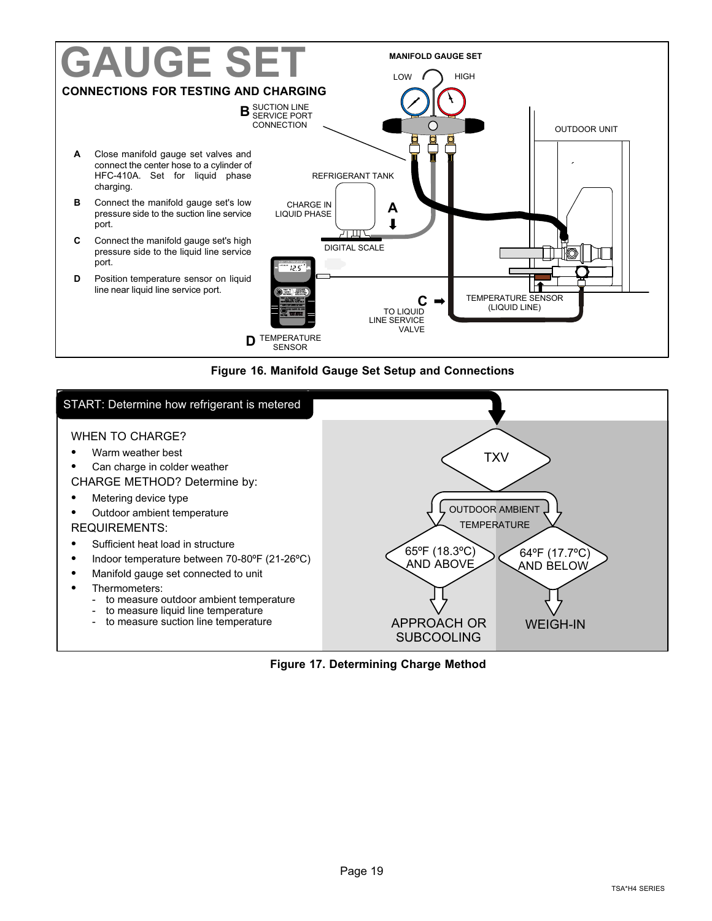<span id="page-18-0"></span>

**Figure 16. Manifold Gauge Set Setup and Connections**



**Figure 17. Determining Charge Method**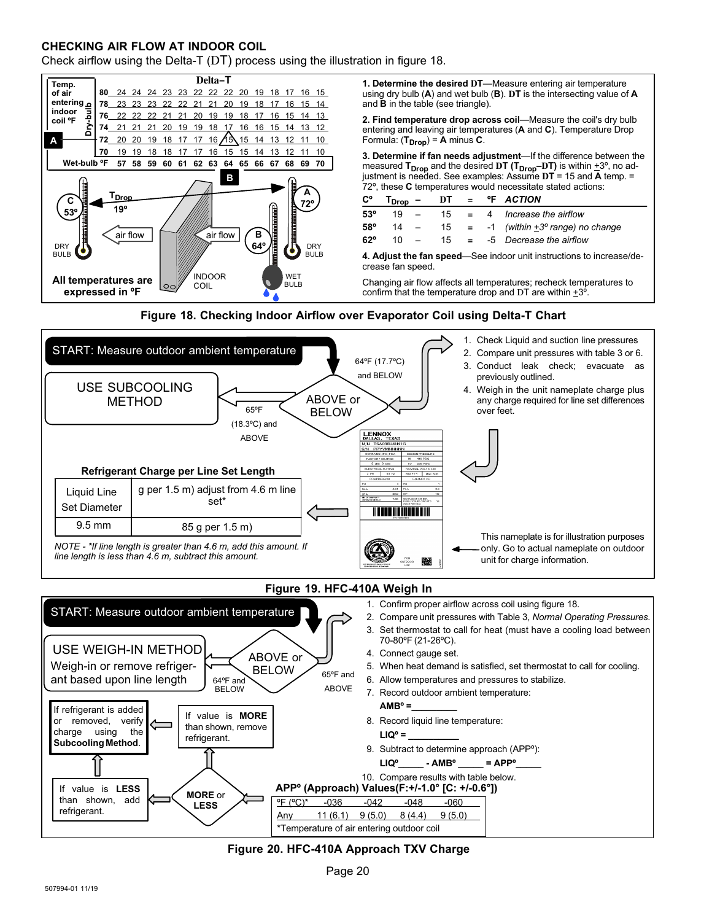#### <span id="page-19-0"></span>**CHECKING AIR FLOW AT INDOOR COIL**

Check airflow using the Delta-T (DT) process using the illustration in figure 18.









#### **Figure 20. HFC-410A Approach TXV Charge**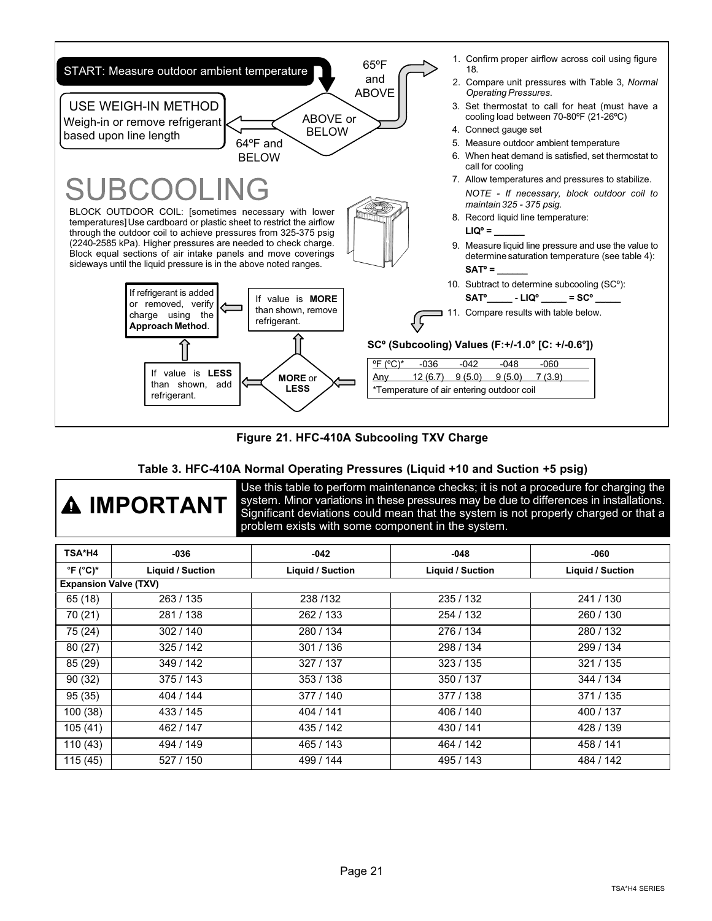<span id="page-20-0"></span>

#### **Figure 21. HFC-410A Subcooling TXV Charge**

#### **Table 3. HFC-410A Normal Operating Pressures (Liquid +10 and Suction +5 psig)**

| A IMPORTANT |
|-------------|
|-------------|

Use this table to perform maintenance checks; it is not a procedure for charging the system. Minor variations in these pressures may be due to differences in installations. Significant deviations could mean that the system is not properly charged or that a problem exists with some component in the system.

| TSA*H4                        | $-036$                  | $-042$                  | $-048$                  | $-060$                  |
|-------------------------------|-------------------------|-------------------------|-------------------------|-------------------------|
| $^{\circ}$ F ( $^{\circ}$ C)* | <b>Liquid / Suction</b> | <b>Liquid / Suction</b> | <b>Liquid / Suction</b> | <b>Liquid / Suction</b> |
| <b>Expansion Valve (TXV)</b>  |                         |                         |                         |                         |
| 65 (18)                       | 263 / 135               | 238 / 132               | 235 / 132               | 241/130                 |
| 70 (21)                       | 281 / 138               | 262 / 133               | 254 / 132               | 260/130                 |
| 75 (24)                       | 302 / 140               | 280 / 134               | 276 / 134               | 280/132                 |
| 80(27)                        | 325 / 142               | 301 / 136               | 298 / 134               | 299 / 134               |
| 85 (29)                       | 349 / 142               | 327 / 137               | 323/135                 | 321 / 135               |
| 90(32)                        | 375/143                 | 353 / 138               | 350 / 137               | 344 / 134               |
| 95(35)                        | 404 / 144               | 377 / 140               | 377 / 138               | 371/135                 |
| 100(38)                       | 433 / 145               | 404 / 141               | 406 / 140               | 400 / 137               |
| 105(41)                       | 462 / 147               | 435 / 142               | 430 / 141               | 428 / 139               |
| 110(43)                       | 494 / 149               | 465 / 143               | 464 / 142               | 458 / 141               |
| 115(45)                       | 527 / 150               | 499 / 144               | 495 / 143               | 484 / 142               |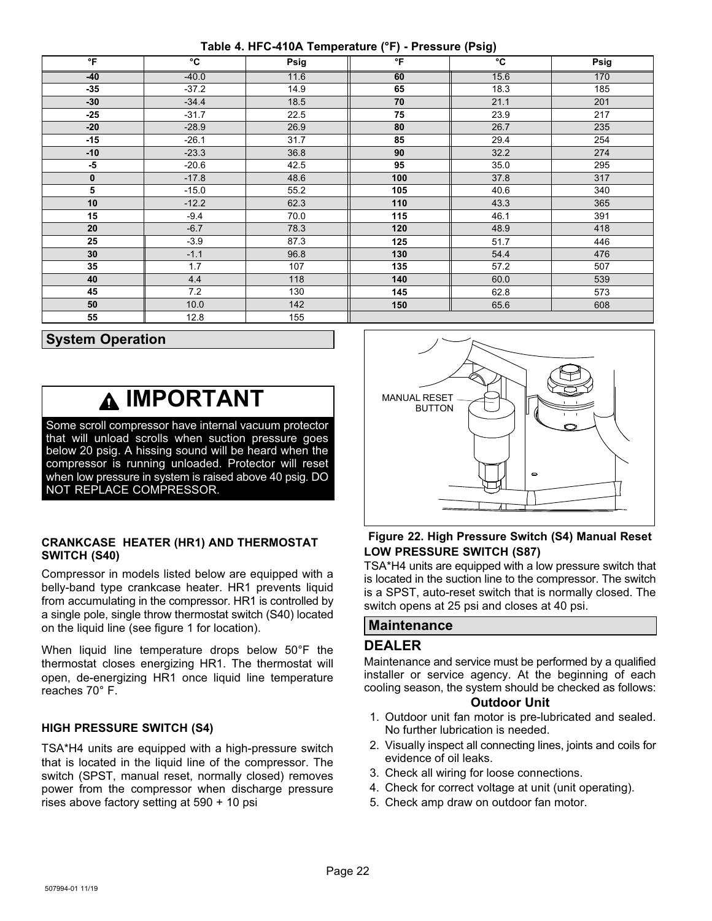**Table 4. HFC-410A Temperature (°F) - Pressure (Psig)**

<span id="page-21-0"></span>

| $\mathsf{P}$    | °C      | Psig | °F  | °C   | Psig |
|-----------------|---------|------|-----|------|------|
| $-40$           | $-40.0$ | 11.6 | 60  | 15.6 | 170  |
| $-35$           | $-37.2$ | 14.9 | 65  | 18.3 | 185  |
| $-30$           | $-34.4$ | 18.5 | 70  | 21.1 | 201  |
| $-25$           | $-31.7$ | 22.5 | 75  | 23.9 | 217  |
| $-20$           | $-28.9$ | 26.9 | 80  | 26.7 | 235  |
| $-15$           | $-26.1$ | 31.7 | 85  | 29.4 | 254  |
| $-10$           | $-23.3$ | 36.8 | 90  | 32.2 | 274  |
| $-5$            | $-20.6$ | 42.5 | 95  | 35.0 | 295  |
| $\mathbf 0$     | $-17.8$ | 48.6 | 100 | 37.8 | 317  |
| $\overline{5}$  | $-15.0$ | 55.2 | 105 | 40.6 | 340  |
| 10              | $-12.2$ | 62.3 | 110 | 43.3 | 365  |
| 15              | $-9.4$  | 70.0 | 115 | 46.1 | 391  |
| 20              | $-6.7$  | 78.3 | 120 | 48.9 | 418  |
| 25              | $-3.9$  | 87.3 | 125 | 51.7 | 446  |
| 30              | $-1.1$  | 96.8 | 130 | 54.4 | 476  |
| 35              | 1.7     | 107  | 135 | 57.2 | 507  |
| 40              | 4.4     | 118  | 140 | 60.0 | 539  |
| 45              | 7.2     | 130  | 145 | 62.8 | 573  |
| 50              | 10.0    | 142  | 150 | 65.6 | 608  |
| $\overline{55}$ | 12.8    | 155  |     |      |      |

#### **System Operation**

### **IMPORTANT**

Some scroll compressor have internal vacuum protector that will unload scrolls when suction pressure goes below 20 psig. A hissing sound will be heard when the compressor is running unloaded. Protector will reset when low pressure in system is raised above 40 psig. DO NOT REPLACE COMPRESSOR.

#### **CRANKCASE HEATER (HR1) AND THERMOSTAT SWITCH (S40)**

Compressor in models listed below are equipped with a belly-band type crankcase heater. HR1 prevents liquid from accumulating in the compressor. HR1 is controlled by a single pole, single throw thermostat switch (S40) located on the liquid line (see figure [1](#page-1-0) for location).

When liquid line temperature drops below 50°F the thermostat closes energizing HR1. The thermostat will open, de-energizing HR1 once liquid line temperature reaches 70° F.

#### **HIGH PRESSURE SWITCH (S4)**

TSA\*H4 units are equipped with a high-pressure switch that is located in the liquid line of the compressor. The switch (SPST, manual reset, normally closed) removes power from the compressor when discharge pressure rises above factory setting at 590 + 10 psi



#### **Figure 22. High Pressure Switch (S4) Manual Reset LOW PRESSURE SWITCH (S87)**

TSA\*H4 units are equipped with a low pressure switch that is located in the suction line to the compressor. The switch is a SPST, auto-reset switch that is normally closed. The switch opens at 25 psi and closes at 40 psi.

#### **Maintenance**

#### **DEALER**

Maintenance and service must be performed by a qualified installer or service agency. At the beginning of each cooling season, the system should be checked as follows:

#### **Outdoor Unit**

- 1. Outdoor unit fan motor is pre-lubricated and sealed. No further lubrication is needed.
- 2. Visually inspect all connecting lines, joints and coils for evidence of oil leaks.
- 3. Check all wiring for loose connections.
- 4. Check for correct voltage at unit (unit operating).
- 5. Check amp draw on outdoor fan motor.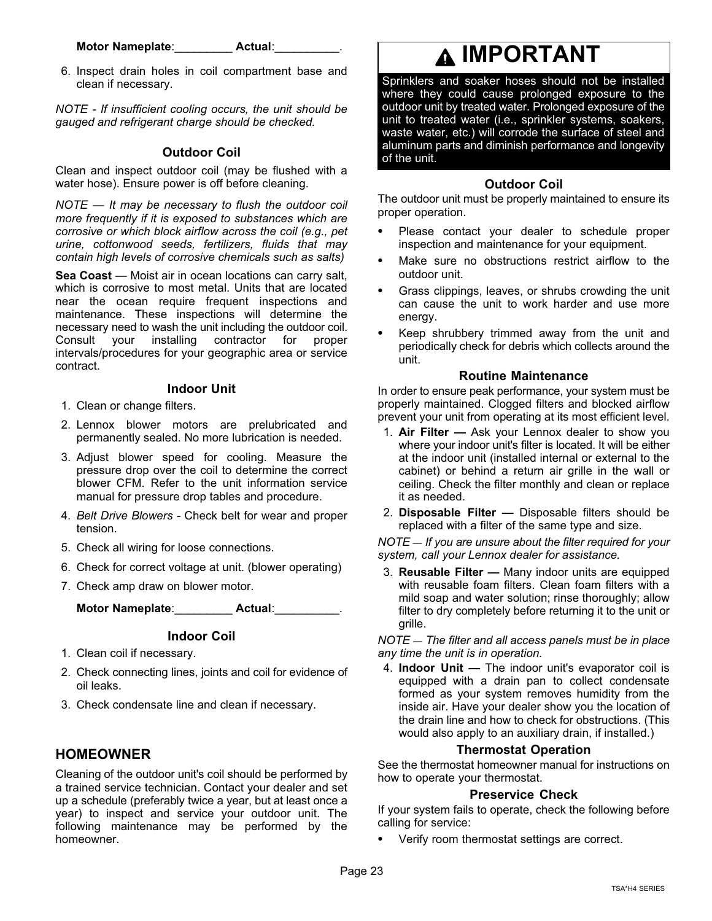#### **Motor Nameplate**:\_\_\_\_\_\_\_\_\_ **Actual**:\_\_\_\_\_\_\_\_\_\_.

6. Inspect drain holes in coil compartment base and clean if necessary.

*NOTE ‐ If insufficient cooling occurs, the unit should be gauged and refrigerant charge should be checked.*

#### **Outdoor Coil**

Clean and inspect outdoor coil (may be flushed with a water hose). Ensure power is off before cleaning.

*NOTE — It may be necessary to flush the outdoor coil more frequently if it is exposed to substances which are corrosive or which block airflow across the coil (e.g., pet urine, cottonwood seeds, fertilizers, fluids that may contain high levels of corrosive chemicals such as salts)*

**Sea Coast** — Moist air in ocean locations can carry salt, which is corrosive to most metal. Units that are located near the ocean require frequent inspections and maintenance. These inspections will determine the necessary need to wash the unit including the outdoor coil. Consult your installing contractor for proper intervals/procedures for your geographic area or service contract.

#### **Indoor Unit**

- 1. Clean or change filters.
- 2. Lennox blower motors are prelubricated and permanently sealed. No more lubrication is needed.
- 3. Adjust blower speed for cooling. Measure the pressure drop over the coil to determine the correct blower CFM. Refer to the unit information service manual for pressure drop tables and procedure.
- 4. *Belt Drive Blowers* Check belt for wear and proper tension.
- 5. Check all wiring for loose connections.
- 6. Check for correct voltage at unit. (blower operating)
- 7. Check amp draw on blower motor.

| <b>Motor Nameplate:</b> | Actual: |  |
|-------------------------|---------|--|
|                         |         |  |

#### **Indoor Coil**

- 1. Clean coil if necessary.
- 2. Check connecting lines, joints and coil for evidence of oil leaks.
- 3. Check condensate line and clean if necessary.

#### **HOMEOWNER**

Cleaning of the outdoor unit's coil should be performed by a trained service technician. Contact your dealer and set up a schedule (preferably twice a year, but at least once a year) to inspect and service your outdoor unit. The following maintenance may be performed by the homeowner.

### **IMPORTANT**

Sprinklers and soaker hoses should not be installed where they could cause prolonged exposure to the outdoor unit by treated water. Prolonged exposure of the unit to treated water (i.e., sprinkler systems, soakers, waste water, etc.) will corrode the surface of steel and aluminum parts and diminish performance and longevity of the unit.

#### **Outdoor Coil**

The outdoor unit must be properly maintained to ensure its proper operation.

- - Please contact your dealer to schedule proper inspection and maintenance for your equipment.
- - Make sure no obstructions restrict airflow to the outdoor unit.
- - Grass clippings, leaves, or shrubs crowding the unit can cause the unit to work harder and use more energy.
- - Keep shrubbery trimmed away from the unit and periodically check for debris which collects around the unit.

#### **Routine Maintenance**

In order to ensure peak performance, your system must be properly maintained. Clogged filters and blocked airflow prevent your unit from operating at its most efficient level.

- 1. **Air Filter —** Ask your Lennox dealer to show you where your indoor unit's filter is located. It will be either at the indoor unit (installed internal or external to the cabinet) or behind a return air grille in the wall or ceiling. Check the filter monthly and clean or replace it as needed.
- 2. **Disposable Filter —** Disposable filters should be replaced with a filter of the same type and size.

*NOTE — If you are unsure about the filter required for your system, call your Lennox dealer for assistance.*

3. **Reusable Filter —** Many indoor units are equipped with reusable foam filters. Clean foam filters with a mild soap and water solution; rinse thoroughly; allow filter to dry completely before returning it to the unit or grille.

*NOTE — The filter and all access panels must be in place any time the unit is in operation.*

4. **Indoor Unit —** The indoor unit's evaporator coil is equipped with a drain pan to collect condensate formed as your system removes humidity from the inside air. Have your dealer show you the location of the drain line and how to check for obstructions. (This would also apply to an auxiliary drain, if installed.)

#### **Thermostat Operation**

See the thermostat homeowner manual for instructions on how to operate your thermostat.

#### **Preservice Check**

If your system fails to operate, check the following before calling for service:

Verify room thermostat settings are correct.

-